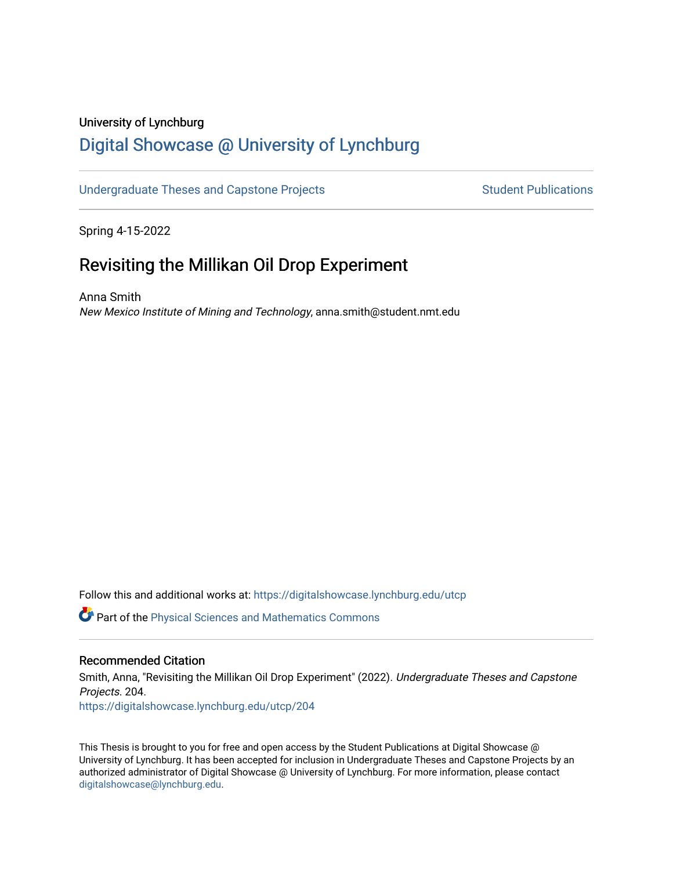## University of Lynchburg

# [Digital Showcase @ University of Lynchburg](https://digitalshowcase.lynchburg.edu/)

#### [Undergraduate Theses and Capstone Projects](https://digitalshowcase.lynchburg.edu/utcp) Student Publications

Spring 4-15-2022

# Revisiting the Millikan Oil Drop Experiment

Anna Smith New Mexico Institute of Mining and Technology, anna.smith@student.nmt.edu

Follow this and additional works at: [https://digitalshowcase.lynchburg.edu/utcp](https://digitalshowcase.lynchburg.edu/utcp?utm_source=digitalshowcase.lynchburg.edu%2Futcp%2F204&utm_medium=PDF&utm_campaign=PDFCoverPages)

Part of the [Physical Sciences and Mathematics Commons](https://network.bepress.com/hgg/discipline/114?utm_source=digitalshowcase.lynchburg.edu%2Futcp%2F204&utm_medium=PDF&utm_campaign=PDFCoverPages) 

#### Recommended Citation

Smith, Anna, "Revisiting the Millikan Oil Drop Experiment" (2022). Undergraduate Theses and Capstone Projects. 204. [https://digitalshowcase.lynchburg.edu/utcp/204](https://digitalshowcase.lynchburg.edu/utcp/204?utm_source=digitalshowcase.lynchburg.edu%2Futcp%2F204&utm_medium=PDF&utm_campaign=PDFCoverPages)

This Thesis is brought to you for free and open access by the Student Publications at Digital Showcase @ University of Lynchburg. It has been accepted for inclusion in Undergraduate Theses and Capstone Projects by an authorized administrator of Digital Showcase @ University of Lynchburg. For more information, please contact [digitalshowcase@lynchburg.edu](mailto:digitalshowcase@lynchburg.edu).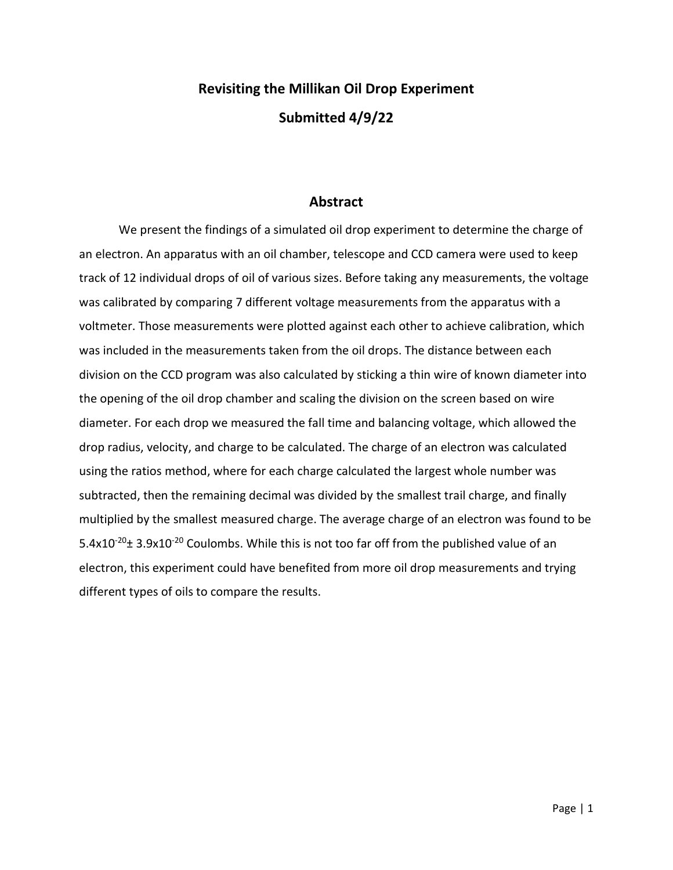# **Revisiting the Millikan Oil Drop Experiment Submitted 4/9/22**

#### **Abstract**

We present the findings of a simulated oil drop experiment to determine the charge of an electron. An apparatus with an oil chamber, telescope and CCD camera were used to keep track of 12 individual drops of oil of various sizes. Before taking any measurements, the voltage was calibrated by comparing 7 different voltage measurements from the apparatus with a voltmeter. Those measurements were plotted against each other to achieve calibration, which was included in the measurements taken from the oil drops. The distance between each division on the CCD program was also calculated by sticking a thin wire of known diameter into the opening of the oil drop chamber and scaling the division on the screen based on wire diameter. For each drop we measured the fall time and balancing voltage, which allowed the drop radius, velocity, and charge to be calculated. The charge of an electron was calculated using the ratios method, where for each charge calculated the largest whole number was subtracted, then the remaining decimal was divided by the smallest trail charge, and finally multiplied by the smallest measured charge. The average charge of an electron was found to be 5.4x10 $20+3.9x10^{-20}$  Coulombs. While this is not too far off from the published value of an electron, this experiment could have benefited from more oil drop measurements and trying different types of oils to compare the results.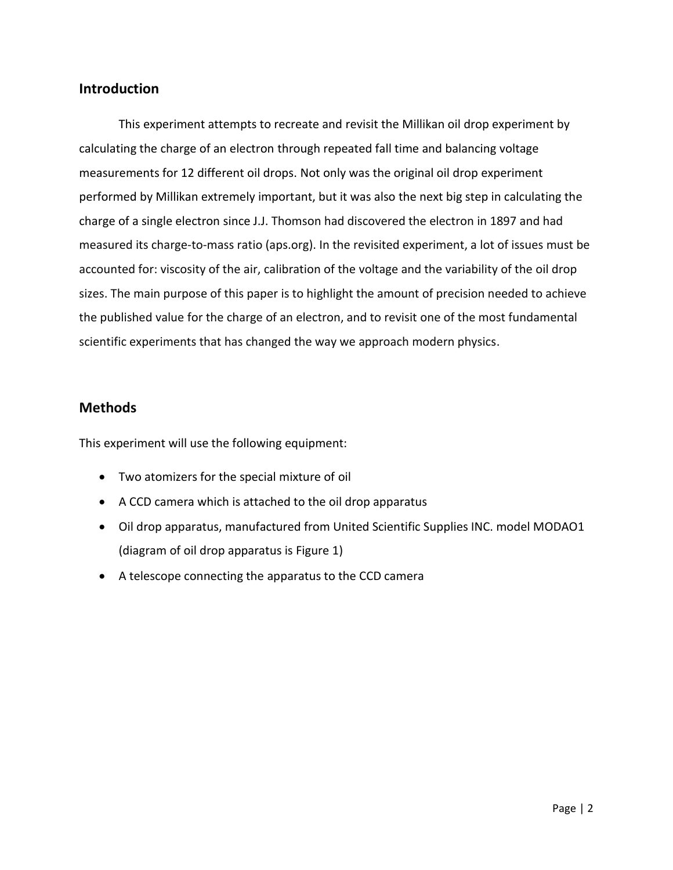#### **Introduction**

This experiment attempts to recreate and revisit the Millikan oil drop experiment by calculating the charge of an electron through repeated fall time and balancing voltage measurements for 12 different oil drops. Not only was the original oil drop experiment performed by Millikan extremely important, but it was also the next big step in calculating the charge of a single electron since J.J. Thomson had discovered the electron in 1897 and had measured its charge-to-mass ratio (aps.org). In the revisited experiment, a lot of issues must be accounted for: viscosity of the air, calibration of the voltage and the variability of the oil drop sizes. The main purpose of this paper is to highlight the amount of precision needed to achieve the published value for the charge of an electron, and to revisit one of the most fundamental scientific experiments that has changed the way we approach modern physics.

#### **Methods**

This experiment will use the following equipment:

- Two atomizers for the special mixture of oil
- A CCD camera which is attached to the oil drop apparatus
- Oil drop apparatus, manufactured from United Scientific Supplies INC. model MODAO1 (diagram of oil drop apparatus is Figure 1)
- A telescope connecting the apparatus to the CCD camera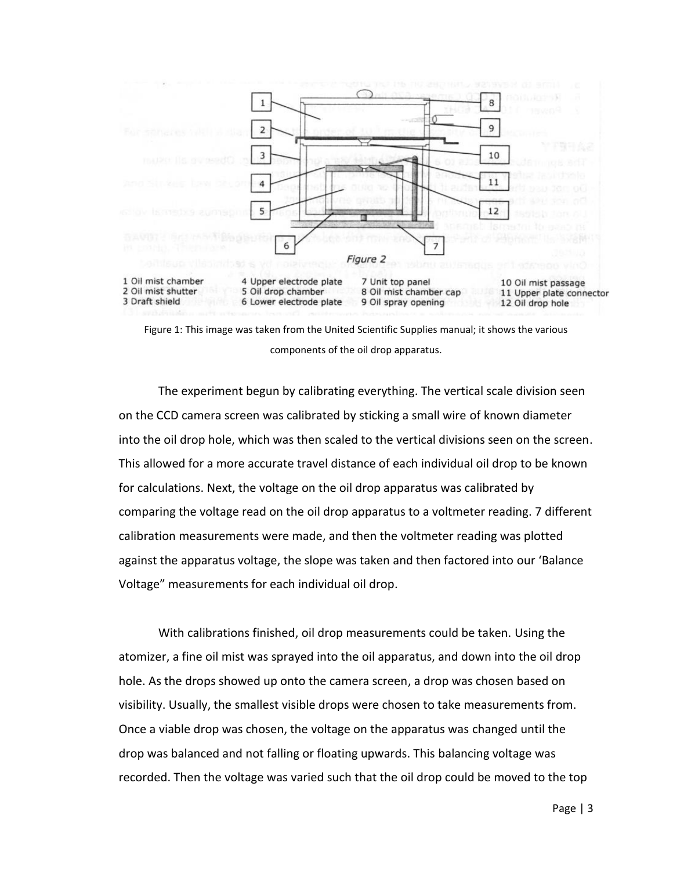

Figure 1: This image was taken from the United Scientific Supplies manual; it shows the various components of the oil drop apparatus.

The experiment begun by calibrating everything. The vertical scale division seen on the CCD camera screen was calibrated by sticking a small wire of known diameter into the oil drop hole, which was then scaled to the vertical divisions seen on the screen. This allowed for a more accurate travel distance of each individual oil drop to be known for calculations. Next, the voltage on the oil drop apparatus was calibrated by comparing the voltage read on the oil drop apparatus to a voltmeter reading. 7 different calibration measurements were made, and then the voltmeter reading was plotted against the apparatus voltage, the slope was taken and then factored into our 'Balance Voltage" measurements for each individual oil drop.

With calibrations finished, oil drop measurements could be taken. Using the atomizer, a fine oil mist was sprayed into the oil apparatus, and down into the oil drop hole. As the drops showed up onto the camera screen, a drop was chosen based on visibility. Usually, the smallest visible drops were chosen to take measurements from. Once a viable drop was chosen, the voltage on the apparatus was changed until the drop was balanced and not falling or floating upwards. This balancing voltage was recorded. Then the voltage was varied such that the oil drop could be moved to the top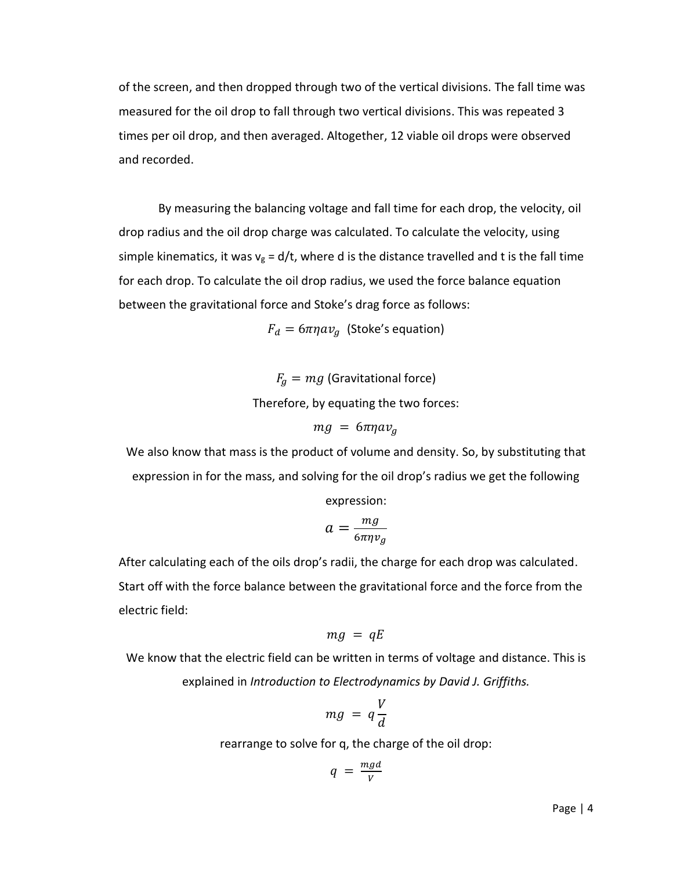of the screen, and then dropped through two of the vertical divisions. The fall time was measured for the oil drop to fall through two vertical divisions. This was repeated 3 times per oil drop, and then averaged. Altogether, 12 viable oil drops were observed and recorded.

By measuring the balancing voltage and fall time for each drop, the velocity, oil drop radius and the oil drop charge was calculated. To calculate the velocity, using simple kinematics, it was  $v_g = d/t$ , where d is the distance travelled and t is the fall time for each drop. To calculate the oil drop radius, we used the force balance equation between the gravitational force and Stoke's drag force as follows:

 $F_d = 6 \pi \eta a v_a$  (Stoke's equation)

 $F_q = mg$  (Gravitational force)

Therefore, by equating the two forces:

 $mg = 6\pi\eta av_a$ 

We also know that mass is the product of volume and density. So, by substituting that expression in for the mass, and solving for the oil drop's radius we get the following

expression:

$$
a=\frac{mg}{6\pi\eta v_g}
$$

After calculating each of the oils drop's radii, the charge for each drop was calculated. Start off with the force balance between the gravitational force and the force from the electric field:

$$
mg = qE
$$

We know that the electric field can be written in terms of voltage and distance. This is explained in *Introduction to Electrodynamics by David J. Griffiths.*

$$
mg = q\frac{V}{d}
$$

rearrange to solve for q, the charge of the oil drop:

$$
q = \frac{mgd}{V}
$$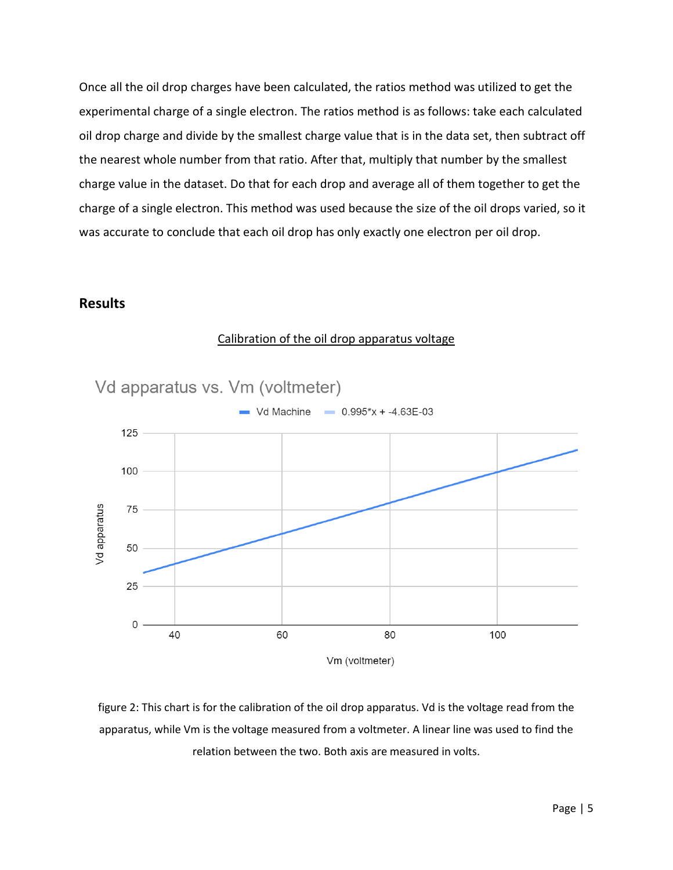Once all the oil drop charges have been calculated, the ratios method was utilized to get the experimental charge of a single electron. The ratios method is as follows: take each calculated oil drop charge and divide by the smallest charge value that is in the data set, then subtract off the nearest whole number from that ratio. After that, multiply that number by the smallest charge value in the dataset. Do that for each drop and average all of them together to get the charge of a single electron. This method was used because the size of the oil drops varied, so it was accurate to conclude that each oil drop has only exactly one electron per oil drop.

#### **Results**



#### Calibration of the oil drop apparatus voltage

figure 2: This chart is for the calibration of the oil drop apparatus. Vd is the voltage read from the apparatus, while Vm is the voltage measured from a voltmeter. A linear line was used to find the relation between the two. Both axis are measured in volts.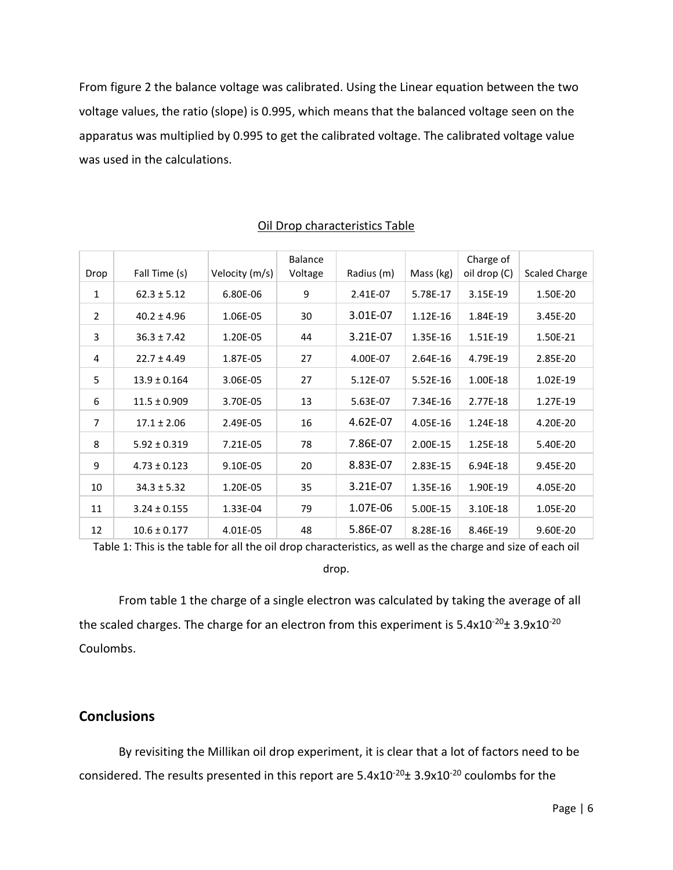From figure 2 the balance voltage was calibrated. Using the Linear equation between the two voltage values, the ratio (slope) is 0.995, which means that the balanced voltage seen on the apparatus was multiplied by 0.995 to get the calibrated voltage. The calibrated voltage value was used in the calculations.

| Drop | Fall Time (s)    | Velocity (m/s) | Balance<br>Voltage | Radius (m) | Mass (kg)  | Charge of<br>oil drop (C) | <b>Scaled Charge</b> |
|------|------------------|----------------|--------------------|------------|------------|---------------------------|----------------------|
| 1    | $62.3 \pm 5.12$  | 6.80E-06       | 9                  | 2.41E-07   | 5.78E-17   | 3.15E-19                  | 1.50E-20             |
| 2    | $40.2 \pm 4.96$  | 1.06E-05       | 30                 | 3.01E-07   | $1.12E-16$ | 1.84E-19                  | 3.45E-20             |
| 3    | $36.3 \pm 7.42$  | 1.20E-05       | 44                 | 3.21E-07   | 1.35E-16   | 1.51E-19                  | 1.50E-21             |
| 4    | $22.7 \pm 4.49$  | 1.87E-05       | 27                 | 4.00E-07   | 2.64E-16   | 4.79E-19                  | 2.85E-20             |
| 5    | $13.9 \pm 0.164$ | 3.06E-05       | 27                 | 5.12E-07   | $5.52E-16$ | 1.00E-18                  | 1.02E-19             |
| 6    | $11.5 \pm 0.909$ | 3.70E-05       | 13                 | 5.63E-07   | 7.34E-16   | 2.77E-18                  | 1.27E-19             |
| 7    | $17.1 \pm 2.06$  | 2.49E-05       | 16                 | 4.62E-07   | 4.05E-16   | 1.24E-18                  | 4.20E-20             |
| 8    | $5.92 \pm 0.319$ | 7.21E-05       | 78                 | 7.86E-07   | 2.00E-15   | 1.25E-18                  | 5.40E-20             |
| 9    | $4.73 \pm 0.123$ | 9.10E-05       | 20                 | 8.83E-07   | 2.83E-15   | 6.94E-18                  | 9.45E-20             |
| 10   | $34.3 \pm 5.32$  | 1.20E-05       | 35                 | 3.21E-07   | 1.35E-16   | 1.90E-19                  | 4.05E-20             |
| 11   | $3.24 \pm 0.155$ | 1.33E-04       | 79                 | 1.07E-06   | 5.00E-15   | 3.10E-18                  | 1.05E-20             |
| 12   | $10.6 \pm 0.177$ | 4.01E-05       | 48                 | 5.86E-07   | 8.28E-16   | 8.46E-19                  | 9.60E-20             |

#### Oil Drop characteristics Table

Table 1: This is the table for all the oil drop characteristics, as well as the charge and size of each oil

drop.

From table 1 the charge of a single electron was calculated by taking the average of all the scaled charges. The charge for an electron from this experiment is  $5.4x10^{-20}$ ±  $3.9x10^{-20}$ Coulombs.

## **Conclusions**

By revisiting the Millikan oil drop experiment, it is clear that a lot of factors need to be considered. The results presented in this report are  $5.4x10^{-20}$ ±  $3.9x10^{-20}$  coulombs for the